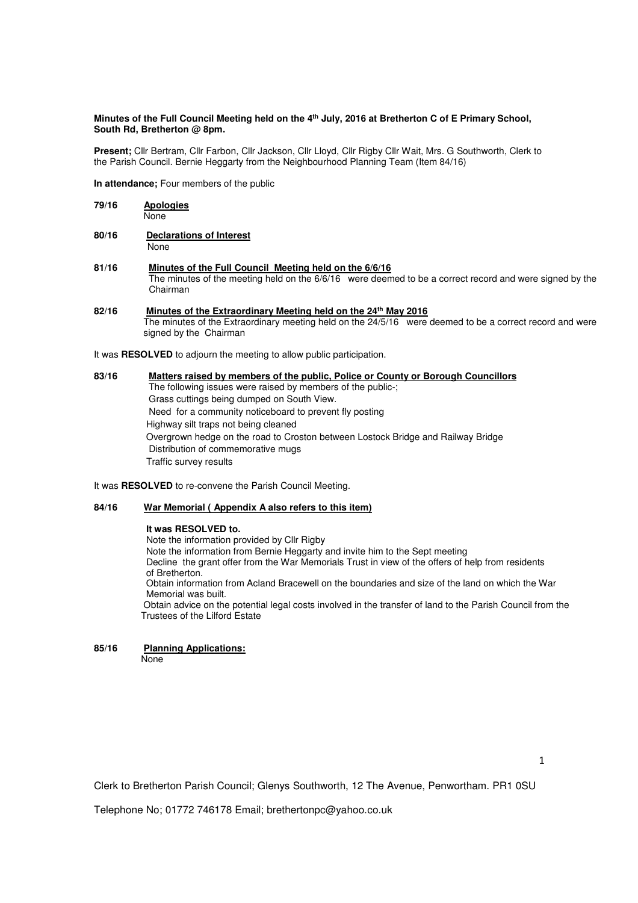## **Minutes of the Full Council Meeting held on the 4th July, 2016 at Bretherton C of E Primary School, South Rd, Bretherton @ 8pm.**

**Present;** Cllr Bertram, Cllr Farbon, Cllr Jackson, Cllr Lloyd, Cllr Rigby Cllr Wait, Mrs. G Southworth, Clerk to the Parish Council. Bernie Heggarty from the Neighbourhood Planning Team (Item 84/16)

**In attendance;** Four members of the public

| 79/16 | Apologies                       |  |
|-------|---------------------------------|--|
|       | None                            |  |
| 80/16 | <b>Declarations of Interest</b> |  |

None

**81/16 Minutes of the Full Council Meeting held on the 6/6/16**  The minutes of the meeting held on the 6/6/16 were deemed to be a correct record and were signed by the Chairman

## **82/16 Minutes of the Extraordinary Meeting held on the 24th May 2016**  The minutes of the Extraordinary meeting held on the 24/5/16 were deemed to be a correct record and were signed by the Chairman

It was **RESOLVED** to adjourn the meeting to allow public participation.

# **83/16 Matters raised by members of the public, Police or County or Borough Councillors**  The following issues were raised by members of the public-; Grass cuttings being dumped on South View. Need for a community noticeboard to prevent fly posting Highway silt traps not being cleaned Overgrown hedge on the road to Croston between Lostock Bridge and Railway Bridge Distribution of commemorative mugs Traffic survey results

It was **RESOLVED** to re-convene the Parish Council Meeting.

## **84/16 War Memorial ( Appendix A also refers to this item)**

## **It was RESOLVED to.**

Note the information provided by Cllr Rigby Note the information from Bernie Heggarty and invite him to the Sept meeting Decline the grant offer from the War Memorials Trust in view of the offers of help from residents of Bretherton. Obtain information from Acland Bracewell on the boundaries and size of the land on which the War Memorial was built. Obtain advice on the potential legal costs involved in the transfer of land to the Parish Council from the Trustees of the Lilford Estate

**85/16 Planning Applications:** 

None

1

Clerk to Bretherton Parish Council; Glenys Southworth, 12 The Avenue, Penwortham. PR1 0SU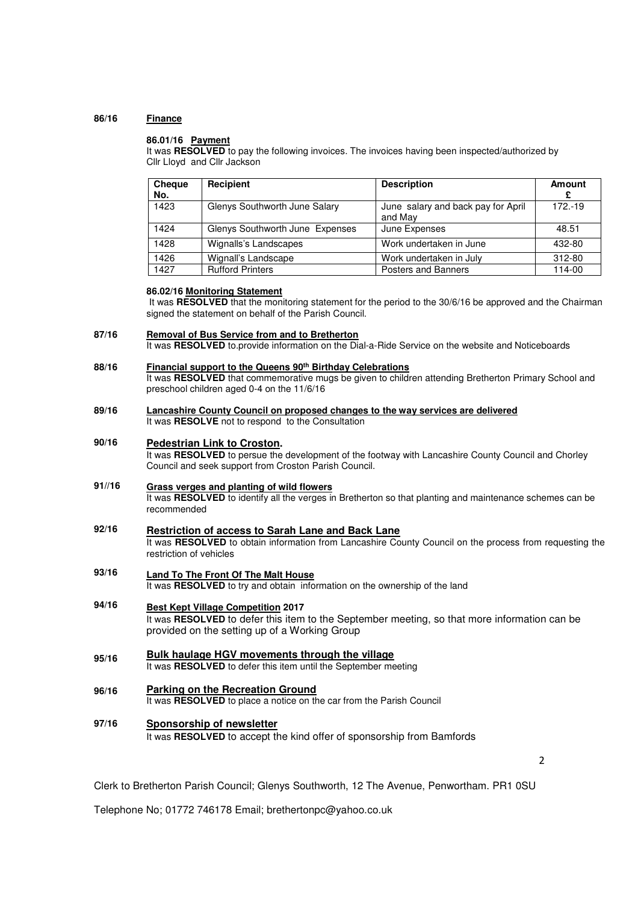### **86/16 Finance**

# **86.01/16 Payment**

It was **RESOLVED** to pay the following invoices. The invoices having been inspected/authorized by Cllr Lloyd and Cllr Jackson

| <b>Cheque</b><br>No. | Recipient                       | <b>Description</b>                            | Amount     |
|----------------------|---------------------------------|-----------------------------------------------|------------|
| 1423                 | Glenys Southworth June Salary   | June salary and back pay for April<br>and May | $172 - 19$ |
| 1424                 | Glenys Southworth June Expenses | June Expenses                                 | 48.51      |
| 1428                 | Wignalls's Landscapes           | Work undertaken in June                       | 432-80     |
| 1426                 | Wignall's Landscape             | Work undertaken in July                       | 312-80     |
| 1427                 | <b>Rufford Printers</b>         | Posters and Banners                           | 114-00     |

## **86.02/16 Monitoring Statement**

 It was **RESOLVED** that the monitoring statement for the period to the 30/6/16 be approved and the Chairman signed the statement on behalf of the Parish Council.

## **87/16 Removal of Bus Service from and to Bretherton**  It was **RESOLVED** to.provide information on the Dial-a-Ride Service on the website and Noticeboards

**88/16 Financial support to the Queens 90th Birthday Celebrations**  It was **RESOLVED** that commemorative mugs be given to children attending Bretherton Primary School and preschool children aged 0-4 on the 11/6/16

### **89/16 Lancashire County Council on proposed changes to the way services are delivered**  It was **RESOLVE** not to respond to the Consultation

### **90/16 Pedestrian Link to Croston.**

It was **RESOLVED** to persue the development of the footway with Lancashire County Council and Chorley Council and seek support from Croston Parish Council.

## **91//16 Grass verges and planting of wild flowers**  It was **RESOLVED** to identify all the verges in Bretherton so that planting and maintenance schemes can be recommended

- **92/16 Restriction of access to Sarah Lane and Back Lane**  It was RESOLVED to obtain information from Lancashire County Council on the process from requesting the restriction of vehicles
- **93/16 Land To The Front Of The Malt House**  It was **RESOLVED** to try and obtain information on the ownership of the land
- **94/16 Best Kept Village Competition 2017** It was **RESOLVED** to defer this item to the September meeting, so that more information can be provided on the setting up of a Working Group
- **95/16 Bulk haulage HGV movements through the village**  It was **RESOLVED** to defer this item until the September meeting
- **96/16 Parking on the Recreation Ground**  It was **RESOLVED** to place a notice on the car from the Parish Council
- **97/16 Sponsorship of newsletter**  It was **RESOLVED** to accept the kind offer of sponsorship from Bamfords

 $\mathfrak{p}$ 

Clerk to Bretherton Parish Council; Glenys Southworth, 12 The Avenue, Penwortham. PR1 0SU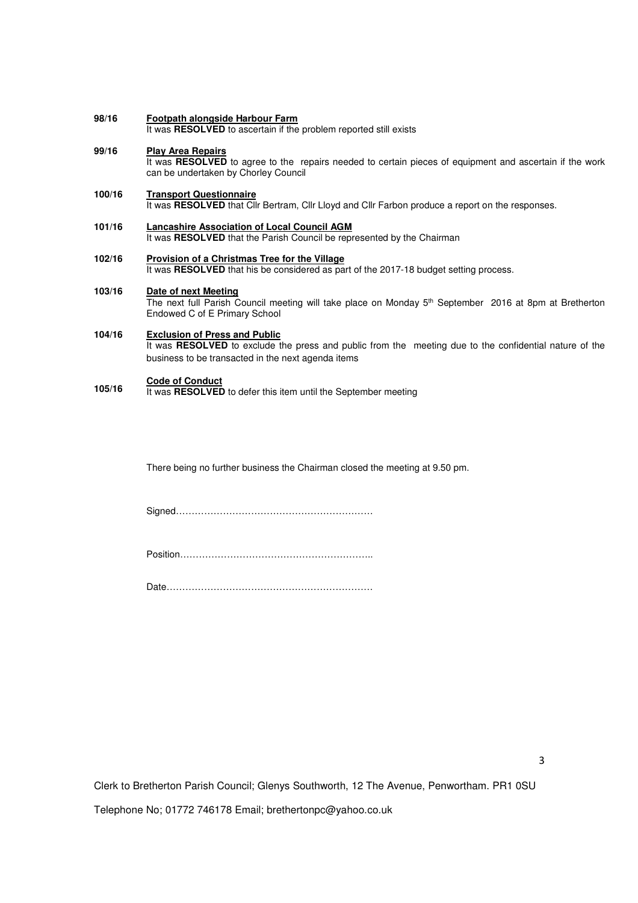### **98/16 Footpath alongside Harbour Farm**

It was **RESOLVED** to ascertain if the problem reported still exists

### **99/16 Play Area Repairs**

It was **RESOLVED** to agree to the repairs needed to certain pieces of equipment and ascertain if the work can be undertaken by Chorley Council

#### **100/16 Transport Questionnaire**

It was **RESOLVED** that Cllr Bertram, Cllr Lloyd and Cllr Farbon produce a report on the responses.

### **101/16 Lancashire Association of Local Council AGM**

It was **RESOLVED** that the Parish Council be represented by the Chairman

### **102/16 Provision of a Christmas Tree for the Village**

It was RESOLVED that his be considered as part of the 2017-18 budget setting process.

#### **103/16 Date of next Meeting**

The next full Parish Council meeting will take place on Monday 5th September 2016 at 8pm at Bretherton Endowed C of E Primary School

### **104/16 Exclusion of Press and Public**

It was **RESOLVED** to exclude the press and public from the meeting due to the confidential nature of the business to be transacted in the next agenda items

## **105/16 Code of Conduct**

It was **RESOLVED** to defer this item until the September meeting

There being no further business the Chairman closed the meeting at 9.50 pm.

Signed………………………………………………………

Position……………………………………………………..

Date…………………………………………………………

Clerk to Bretherton Parish Council; Glenys Southworth, 12 The Avenue, Penwortham. PR1 0SU